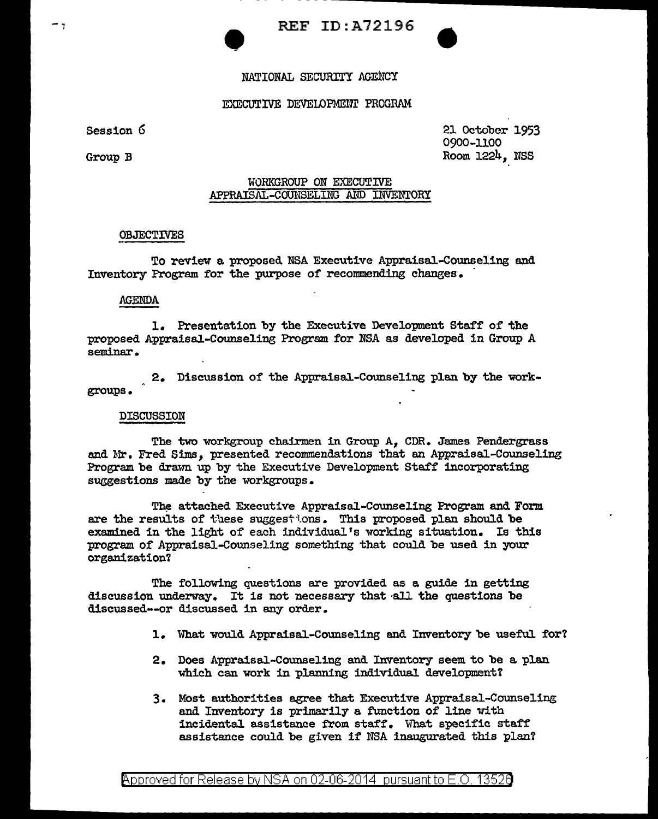# • REF ID:A72196

# NATIONAL SECURITY AGENCY

# EXECUTIVE DEVELOPMENT PROGRAM

Session *G* 

Group B

21 October 1953 0900-1100 Room 1224, USS

# WORKGROUP ON EXECUTIVE APPRAISAL-COUNSELING AND INVENTORY

#### **OBJECTIVES**

To review a proposed NSA Executive Appraisal-Counseling and Inventory Program for the purpose of recommending changes.

# AGENDA

1. Presentation by the Executive Development Staff of the proposed Appraisal-Counseling Program for NSA as developed in Group A seminar.

2. Discussion of the Appraisal-Counseling plan by the workgroups.

### DISCUSSION

The two workgroup chairmen in Group A, CDR. James Pendergrass and Mr. Fred Sims, presented recommendations that an Appraisal-Counseling Program be drawn up by the Executive Development Staff incorporating suggestions made by the vorkgroups.

The attached Executive Appraisal-Counseling Program and Form are the results of these suggestions. This proposed plan should be examined in the light of each individual's working situation. Is this program of Appraisal-Counseling something that could be used in your organization'l

The following questions are provided as a guide in getting discussion underway. It is not necessary that all the questions be discussed--or discussed in any order.

- 1. What would Appraisal-Counseling and Inventory be useful. for'l
- 2. Does Appraisal-Counseling and Inventory seem to be a plan vhich can work in planning individual development'l
- 3. Most authorities agree tbat Executive Appraisal-Counseling and Inventory is primarily a. function of line with incidental assistance from staff. What specific staff assistance could be given if NSA inaugurated this plan'l

<code>Approved</code> for Release by NSA on 02-06-2014 pursuant to E.O. 1352 $\mathbf 3$